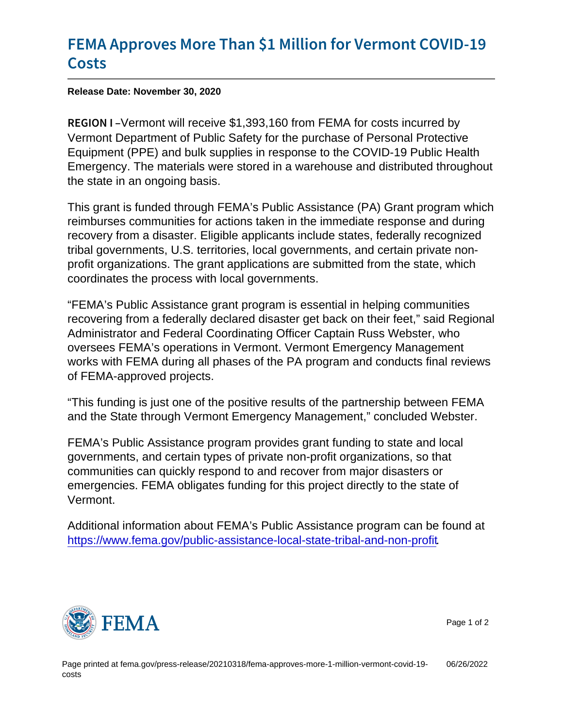## [FEMA Approves More Than \\$1 Millio](https://www.fema.gov/press-release/20210318/fema-approves-more-1-million-vermont-covid-19-costs)n for [Cos](https://www.fema.gov/press-release/20210318/fema-approves-more-1-million-vermont-covid-19-costs)ts

Release Date: November 30, 2020

REGIOW Inhont will receive \$1,393,160 from FEMA for costs incurred by Vermont Department of Public Safety for the purchase of Personal Protective Equipment (PPE) and bulk supplies in response to the COVID-19 Public Health Emergency. The materials were stored in a warehouse and distributed throughout the state in an ongoing basis.

This grant is funded through FEMA's Public Assistance (PA) Grant program which reimburses communities for actions taken in the immediate response and during recovery from a disaster. Eligible applicants include states, federally recognized tribal governments, U.S. territories, local governments, and certain private nonprofit organizations. The grant applications are submitted from the state, which coordinates the process with local governments.

"FEMA's Public Assistance grant program is essential in helping communities recovering from a federally declared disaster get back on their feet," said Regional Administrator and Federal Coordinating Officer Captain Russ Webster, who oversees FEMA's operations in Vermont. Vermont Emergency Management works with FEMA during all phases of the PA program and conducts final reviews of FEMA-approved projects.

"This funding is just one of the positive results of the partnership between FEMA and the State through Vermont Emergency Management," concluded Webster.

FEMA's Public Assistance program provides grant funding to state and local governments, and certain types of private non-profit organizations, so that communities can quickly respond to and recover from major disasters or emergencies. FEMA obligates funding for this project directly to the state of Vermont.

Additional information about FEMA's Public Assistance program can be found at [https://www.fema.gov/public-assistance-local-state-tribal-and-non-profit.](https://www.fema.gov/public-assistance-local-state-tribal-and-non-profit)



Page 1 of 2